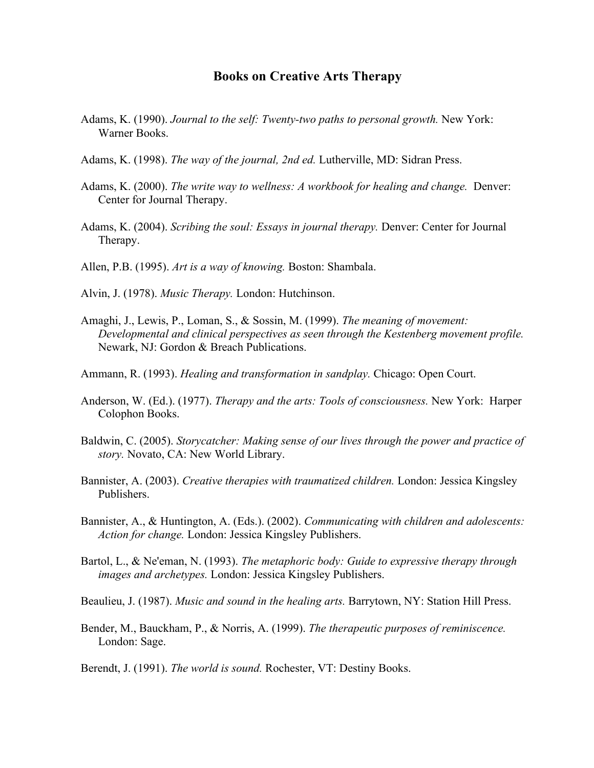## **Books on Creative Arts Therapy**

- Adams, K. (1990). *Journal to the self: Twenty-two paths to personal growth.* New York: Warner Books.
- Adams, K. (1998). *The way of the journal, 2nd ed.* Lutherville, MD: Sidran Press.
- Adams, K. (2000). *The write way to wellness: A workbook for healing and change.* Denver: Center for Journal Therapy.
- Adams, K. (2004). *Scribing the soul: Essays in journal therapy.* Denver: Center for Journal Therapy.

Allen, P.B. (1995). *Art is a way of knowing.* Boston: Shambala.

- Alvin, J. (1978). *Music Therapy.* London: Hutchinson.
- Amaghi, J., Lewis, P., Loman, S., & Sossin, M. (1999). *The meaning of movement: Developmental and clinical perspectives as seen through the Kestenberg movement profile.*  Newark, NJ: Gordon & Breach Publications.
- Ammann, R. (1993). *Healing and transformation in sandplay.* Chicago: Open Court.
- Anderson, W. (Ed.). (1977). *Therapy and the arts: Tools of consciousness.* New York: Harper Colophon Books.
- Baldwin, C. (2005). *Storycatcher: Making sense of our lives through the power and practice of story.* Novato, CA: New World Library.
- Bannister, A. (2003). *Creative therapies with traumatized children.* London: Jessica Kingsley Publishers.
- Bannister, A., & Huntington, A. (Eds.). (2002). *Communicating with children and adolescents: Action for change.* London: Jessica Kingsley Publishers.
- Bartol, L., & Ne'eman, N. (1993). *The metaphoric body: Guide to expressive therapy through images and archetypes.* London: Jessica Kingsley Publishers.
- Beaulieu, J. (1987). *Music and sound in the healing arts.* Barrytown, NY: Station Hill Press.
- Bender, M., Bauckham, P., & Norris, A. (1999). *The therapeutic purposes of reminiscence.* London: Sage.
- Berendt, J. (1991). *The world is sound.* Rochester, VT: Destiny Books.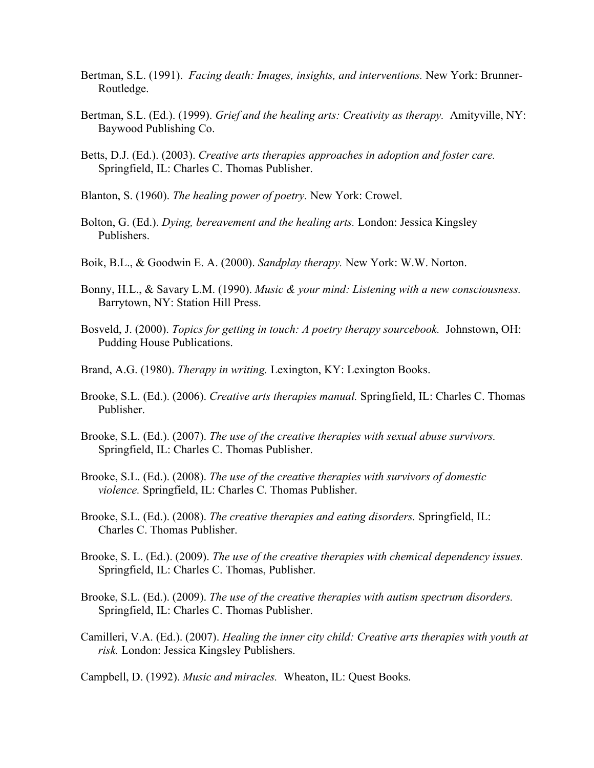- Bertman, S.L. (1991). *Facing death: Images, insights, and interventions.* New York: Brunner-Routledge.
- Bertman, S.L. (Ed.). (1999). *Grief and the healing arts: Creativity as therapy.* Amityville, NY: Baywood Publishing Co.
- Betts, D.J. (Ed.). (2003). *Creative arts therapies approaches in adoption and foster care.* Springfield, IL: Charles C. Thomas Publisher.
- Blanton, S. (1960). *The healing power of poetry.* New York: Crowel.
- Bolton, G. (Ed.). *Dying, bereavement and the healing arts.* London: Jessica Kingsley Publishers.
- Boik, B.L., & Goodwin E. A. (2000). *Sandplay therapy.* New York: W.W. Norton.
- Bonny, H.L., & Savary L.M. (1990). *Music & your mind: Listening with a new consciousness.* Barrytown, NY: Station Hill Press.
- Bosveld, J. (2000). *Topics for getting in touch: A poetry therapy sourcebook.* Johnstown, OH: Pudding House Publications.
- Brand, A.G. (1980). *Therapy in writing.* Lexington, KY: Lexington Books.
- Brooke, S.L. (Ed.). (2006). *Creative arts therapies manual.* Springfield, IL: Charles C. Thomas Publisher.
- Brooke, S.L. (Ed.). (2007). *The use of the creative therapies with sexual abuse survivors.* Springfield, IL: Charles C. Thomas Publisher.
- Brooke, S.L. (Ed.). (2008). *The use of the creative therapies with survivors of domestic violence.* Springfield, IL: Charles C. Thomas Publisher.
- Brooke, S.L. (Ed.). (2008). *The creative therapies and eating disorders.* Springfield, IL: Charles C. Thomas Publisher.
- Brooke, S. L. (Ed.). (2009). *The use of the creative therapies with chemical dependency issues.* Springfield, IL: Charles C. Thomas, Publisher.
- Brooke, S.L. (Ed.). (2009). *The use of the creative therapies with autism spectrum disorders.* Springfield, IL: Charles C. Thomas Publisher.
- Camilleri, V.A. (Ed.). (2007). *Healing the inner city child: Creative arts therapies with youth at risk.* London: Jessica Kingsley Publishers.

Campbell, D. (1992). *Music and miracles.* Wheaton, IL: Quest Books.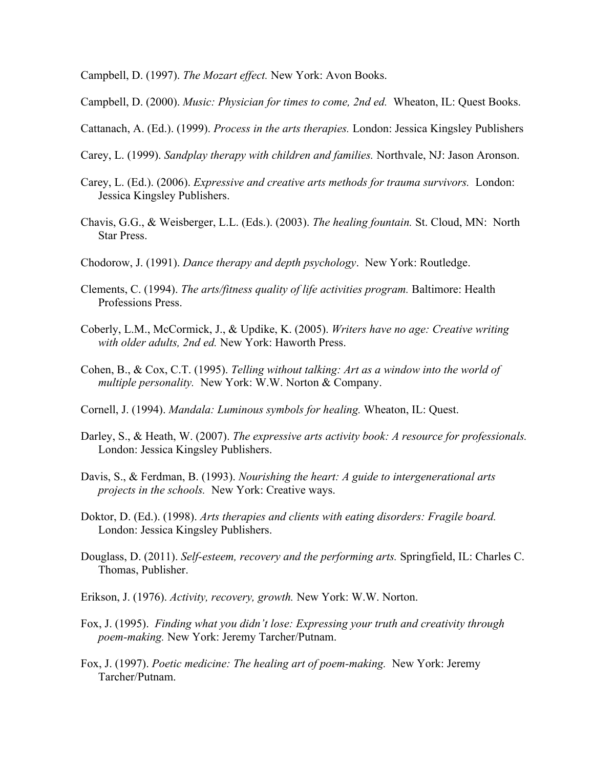Campbell, D. (1997). *The Mozart effect.* New York: Avon Books.

Campbell, D. (2000). *Music: Physician for times to come, 2nd ed.* Wheaton, IL: Quest Books.

Cattanach, A. (Ed.). (1999). *Process in the arts therapies.* London: Jessica Kingsley Publishers

- Carey, L. (1999). *Sandplay therapy with children and families.* Northvale, NJ: Jason Aronson.
- Carey, L. (Ed.). (2006). *Expressive and creative arts methods for trauma survivors.* London: Jessica Kingsley Publishers.
- Chavis, G.G., & Weisberger, L.L. (Eds.). (2003). *The healing fountain.* St. Cloud, MN: North Star Press.
- Chodorow, J. (1991). *Dance therapy and depth psychology*. New York: Routledge.
- Clements, C. (1994). *The arts/fitness quality of life activities program.* Baltimore: Health Professions Press.
- Coberly, L.M., McCormick, J., & Updike, K. (2005). *Writers have no age: Creative writing with older adults, 2nd ed.* New York: Haworth Press.
- Cohen, B., & Cox, C.T. (1995). *Telling without talking: Art as a window into the world of multiple personality.* New York: W.W. Norton & Company.
- Cornell, J. (1994). *Mandala: Luminous symbols for healing.* Wheaton, IL: Quest.
- Darley, S., & Heath, W. (2007). *The expressive arts activity book: A resource for professionals.* London: Jessica Kingsley Publishers.
- Davis, S., & Ferdman, B. (1993). *Nourishing the heart: A guide to intergenerational arts projects in the schools.* New York: Creative ways.
- Doktor, D. (Ed.). (1998). *Arts therapies and clients with eating disorders: Fragile board.* London: Jessica Kingsley Publishers.
- Douglass, D. (2011). *Self-esteem, recovery and the performing arts.* Springfield, IL: Charles C. Thomas, Publisher.
- Erikson, J. (1976). *Activity, recovery, growth.* New York: W.W. Norton.
- Fox, J. (1995). *Finding what you didn't lose: Expressing your truth and creativity through poem-making.* New York: Jeremy Tarcher/Putnam.
- Fox, J. (1997). *Poetic medicine: The healing art of poem-making.* New York: Jeremy Tarcher/Putnam.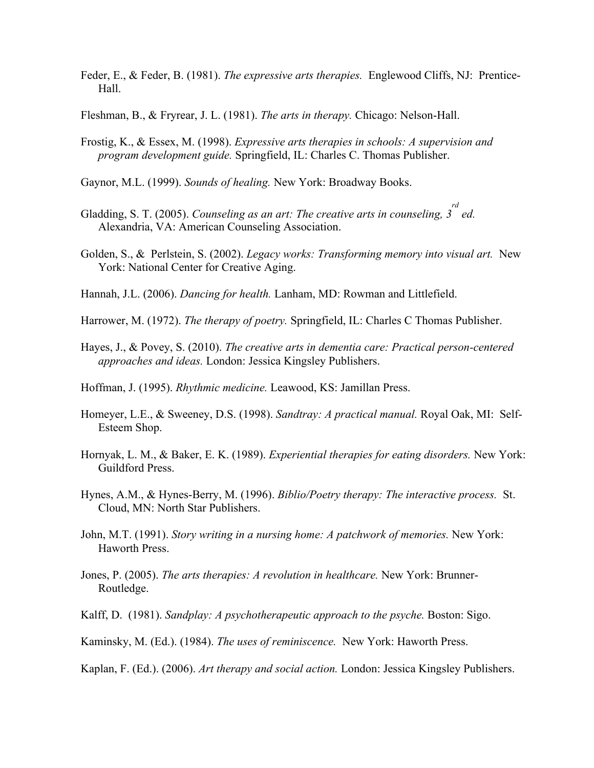- Feder, E., & Feder, B. (1981). *The expressive arts therapies.* Englewood Cliffs, NJ: Prentice-Hall.
- Fleshman, B., & Fryrear, J. L. (1981). *The arts in therapy.* Chicago: Nelson-Hall.
- Frostig, K., & Essex, M. (1998). *Expressive arts therapies in schools: A supervision and program development guide.* Springfield, IL: Charles C. Thomas Publisher.
- Gaynor, M.L. (1999). *Sounds of healing.* New York: Broadway Books.
- Gladding, S. T. (2005). *Counseling as an art: The creative arts in counseling, 3 rd ed.*  Alexandria, VA: American Counseling Association.
- Golden, S., & Perlstein, S. (2002). *Legacy works: Transforming memory into visual art.* New York: National Center for Creative Aging.
- Hannah, J.L. (2006). *Dancing for health.* Lanham, MD: Rowman and Littlefield.
- Harrower, M. (1972). *The therapy of poetry.* Springfield, IL: Charles C Thomas Publisher.
- Hayes, J., & Povey, S. (2010). *The creative arts in dementia care: Practical person-centered approaches and ideas.* London: Jessica Kingsley Publishers.
- Hoffman, J. (1995). *Rhythmic medicine.* Leawood, KS: Jamillan Press.
- Homeyer, L.E., & Sweeney, D.S. (1998). *Sandtray: A practical manual.* Royal Oak, MI: Self-Esteem Shop.
- Hornyak, L. M., & Baker, E. K. (1989). *Experiential therapies for eating disorders.* New York: Guildford Press.
- Hynes, A.M., & Hynes-Berry, M. (1996). *Biblio/Poetry therapy: The interactive process.* St. Cloud, MN: North Star Publishers.
- John, M.T. (1991). *Story writing in a nursing home: A patchwork of memories.* New York: Haworth Press.
- Jones, P. (2005). *The arts therapies: A revolution in healthcare.* New York: Brunner-Routledge.
- Kalff, D. (1981). *Sandplay: A psychotherapeutic approach to the psyche.* Boston: Sigo.
- Kaminsky, M. (Ed.). (1984). *The uses of reminiscence.* New York: Haworth Press.
- Kaplan, F. (Ed.). (2006). *Art therapy and social action.* London: Jessica Kingsley Publishers.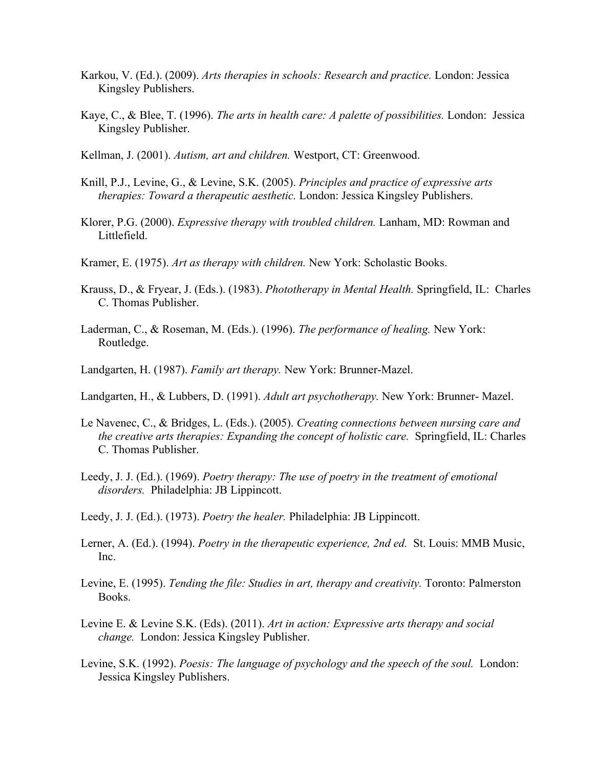- Karkou, V. (Ed.). (2009). *Arts therapies in schools: Research and practice.* London: Jessica Kingsley Publishers.
- Kaye, C., & Blee, T. (1996). *The arts in health care: A palette of possibilities.* London: Jessica Kingsley Publisher.
- Kellman, J. (2001). *Autism, art and children.* Westport, CT: Greenwood.
- Knill, P.J., Levine, G., & Levine, S.K. (2005). *Principles and practice of expressive arts therapies: Toward a therapeutic aesthetic.* London: Jessica Kingsley Publishers.
- Klorer, P.G. (2000). *Expressive therapy with troubled children.* Lanham, MD: Rowman and Littlefield.
- Kramer, E. (1975). *Art as therapy with children.* New York: Scholastic Books.
- Krauss, D., & Fryear, J. (Eds.). (1983). *Phototherapy in Mental Health.* Springfield, IL: Charles C. Thomas Publisher.
- Laderman, C., & Roseman, M. (Eds.). (1996). *The performance of healing.* New York: Routledge.
- Landgarten, H. (1987). *Family art therapy.* New York: Brunner-Mazel.
- Landgarten, H., & Lubbers, D. (1991). *Adult art psychotherapy.* New York: Brunner- Mazel.
- Le Navenec, C., & Bridges, L. (Eds.). (2005). *Creating connections between nursing care and the creative arts therapies: Expanding the concept of holistic care.* Springfield, IL: Charles C. Thomas Publisher.
- Leedy, J. J. (Ed.). (1969). *Poetry therapy: The use of poetry in the treatment of emotional disorders.* Philadelphia: JB Lippincott.
- Leedy, J. J. (Ed.). (1973). *Poetry the healer.* Philadelphia: JB Lippincott.
- Lerner, A. (Ed.). (1994). *Poetry in the therapeutic experience, 2nd ed.* St. Louis: MMB Music, Inc.
- Levine, E. (1995). *Tending the file: Studies in art, therapy and creativity.* Toronto: Palmerston Books.
- Levine E. & Levine S.K. (Eds). (2011). *Art in action: Expressive arts therapy and social change.* London: Jessica Kingsley Publisher.
- Levine, S.K. (1992). *Poesis: The language of psychology and the speech of the soul.* London: Jessica Kingsley Publishers.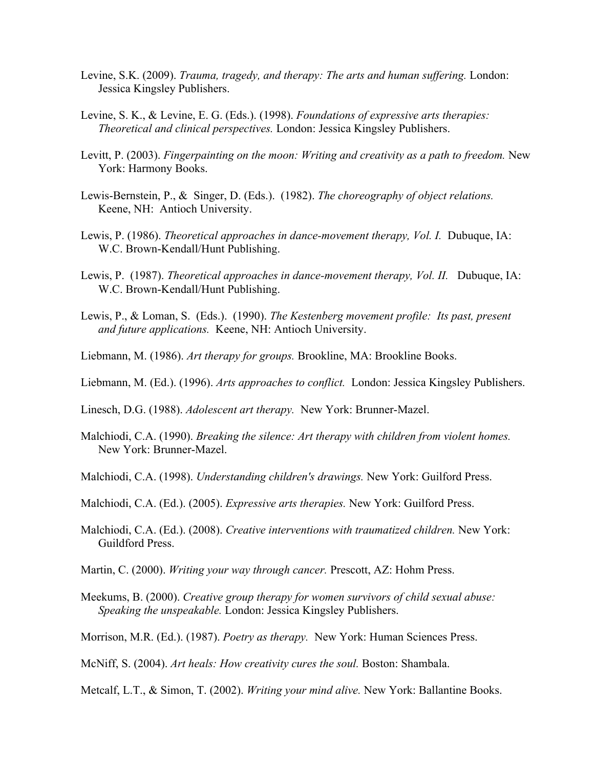- Levine, S.K. (2009). *Trauma, tragedy, and therapy: The arts and human suffering.* London: Jessica Kingsley Publishers.
- Levine, S. K., & Levine, E. G. (Eds.). (1998). *Foundations of expressive arts therapies: Theoretical and clinical perspectives.* London: Jessica Kingsley Publishers.
- Levitt, P. (2003). *Fingerpainting on the moon: Writing and creativity as a path to freedom.* New York: Harmony Books.
- Lewis-Bernstein, P., & Singer, D. (Eds.). (1982). *The choreography of object relations.*  Keene, NH: Antioch University.
- Lewis, P. (1986). *Theoretical approaches in dance-movement therapy, Vol. I.* Dubuque, IA: W.C. Brown-Kendall/Hunt Publishing.
- Lewis, P. (1987). *Theoretical approaches in dance-movement therapy, Vol. II.* Dubuque, IA: W.C. Brown-Kendall/Hunt Publishing.
- Lewis, P., & Loman, S. (Eds.). (1990). *The Kestenberg movement profile: Its past, present and future applications.* Keene, NH: Antioch University.
- Liebmann, M. (1986). *Art therapy for groups.* Brookline, MA: Brookline Books.
- Liebmann, M. (Ed.). (1996). *Arts approaches to conflict.* London: Jessica Kingsley Publishers.
- Linesch, D.G. (1988). *Adolescent art therapy.* New York: Brunner-Mazel.
- Malchiodi, C.A. (1990). *Breaking the silence: Art therapy with children from violent homes.* New York: Brunner-Mazel.
- Malchiodi, C.A. (1998). *Understanding children's drawings.* New York: Guilford Press.
- Malchiodi, C.A. (Ed.). (2005). *Expressive arts therapies.* New York: Guilford Press.
- Malchiodi, C.A. (Ed.). (2008). *Creative interventions with traumatized children.* New York: Guildford Press.
- Martin, C. (2000). *Writing your way through cancer.* Prescott, AZ: Hohm Press.
- Meekums, B. (2000). *Creative group therapy for women survivors of child sexual abuse: Speaking the unspeakable.* London: Jessica Kingsley Publishers.
- Morrison, M.R. (Ed.). (1987). *Poetry as therapy.* New York: Human Sciences Press.
- McNiff, S. (2004). *Art heals: How creativity cures the soul.* Boston: Shambala.
- Metcalf, L.T., & Simon, T. (2002). *Writing your mind alive.* New York: Ballantine Books.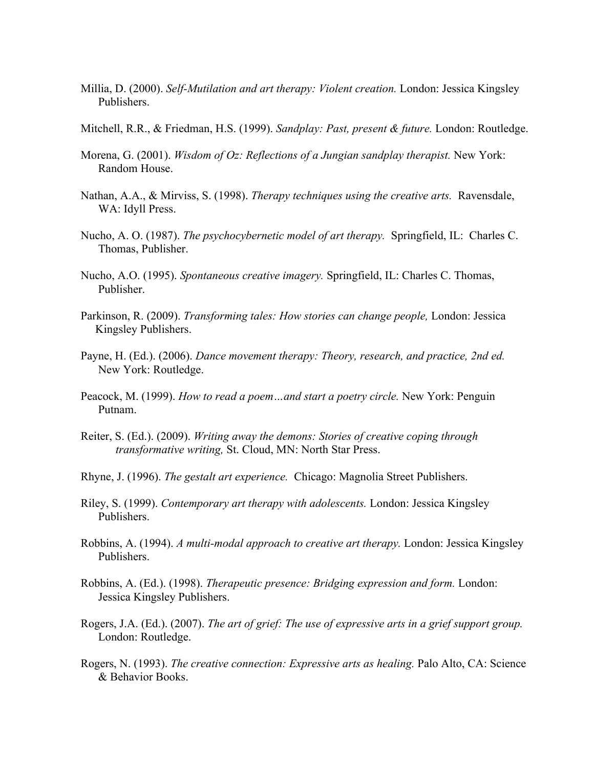- Millia, D. (2000). *Self-Mutilation and art therapy: Violent creation.* London: Jessica Kingsley Publishers.
- Mitchell, R.R., & Friedman, H.S. (1999). *Sandplay: Past, present & future.* London: Routledge.
- Morena, G. (2001). *Wisdom of Oz: Reflections of a Jungian sandplay therapist.* New York: Random House.
- Nathan, A.A., & Mirviss, S. (1998). *Therapy techniques using the creative arts.* Ravensdale, WA: Idyll Press.
- Nucho, A. O. (1987). *The psychocybernetic model of art therapy.* Springfield, IL: Charles C. Thomas, Publisher.
- Nucho, A.O. (1995). *Spontaneous creative imagery.* Springfield, IL: Charles C. Thomas, Publisher.
- Parkinson, R. (2009). *Transforming tales: How stories can change people,* London: Jessica Kingsley Publishers.
- Payne, H. (Ed.). (2006). *Dance movement therapy: Theory, research, and practice, 2nd ed.*  New York: Routledge.
- Peacock, M. (1999). *How to read a poem…and start a poetry circle.* New York: Penguin Putnam.
- Reiter, S. (Ed.). (2009). *Writing away the demons: Stories of creative coping through transformative writing,* St. Cloud, MN: North Star Press.
- Rhyne, J. (1996). *The gestalt art experience.* Chicago: Magnolia Street Publishers.
- Riley, S. (1999). *Contemporary art therapy with adolescents.* London: Jessica Kingsley Publishers.
- Robbins, A. (1994). *A multi-modal approach to creative art therapy.* London: Jessica Kingsley Publishers.
- Robbins, A. (Ed.). (1998). *Therapeutic presence: Bridging expression and form.* London: Jessica Kingsley Publishers.
- Rogers, J.A. (Ed.). (2007). *The art of grief: The use of expressive arts in a grief support group.*  London: Routledge.
- Rogers, N. (1993). *The creative connection: Expressive arts as healing.* Palo Alto, CA: Science & Behavior Books.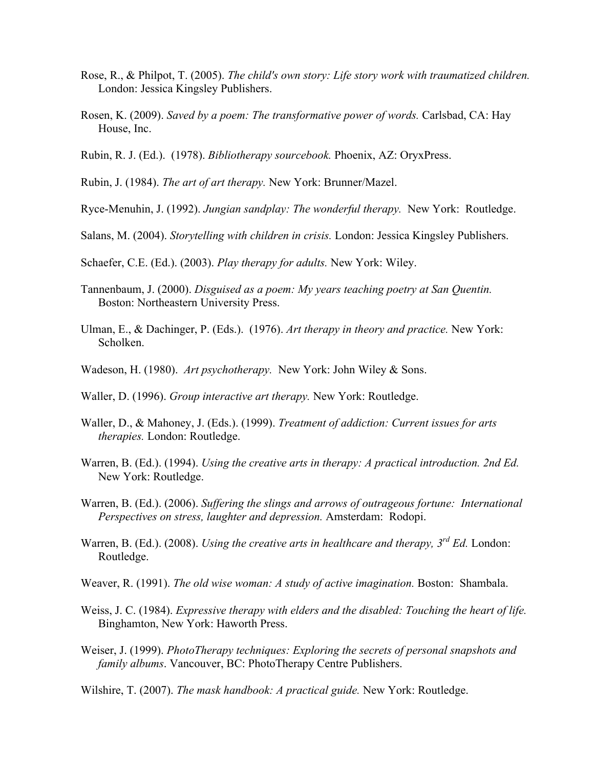- Rose, R., & Philpot, T. (2005). *The child's own story: Life story work with traumatized children.*  London: Jessica Kingsley Publishers.
- Rosen, K. (2009). *Saved by a poem: The transformative power of words.* Carlsbad, CA: Hay House, Inc.
- Rubin, R. J. (Ed.). (1978). *Bibliotherapy sourcebook.* Phoenix, AZ: OryxPress.
- Rubin, J. (1984). *The art of art therapy.* New York: Brunner/Mazel.

Ryce-Menuhin, J. (1992). *Jungian sandplay: The wonderful therapy.* New York: Routledge.

- Salans, M. (2004). *Storytelling with children in crisis.* London: Jessica Kingsley Publishers.
- Schaefer, C.E. (Ed.). (2003). *Play therapy for adults.* New York: Wiley.
- Tannenbaum, J. (2000). *Disguised as a poem: My years teaching poetry at San Quentin.* Boston: Northeastern University Press.
- Ulman, E., & Dachinger, P. (Eds.). (1976). *Art therapy in theory and practice.* New York: Scholken.
- Wadeson, H. (1980). *Art psychotherapy.* New York: John Wiley & Sons.
- Waller, D. (1996). *Group interactive art therapy.* New York: Routledge.
- Waller, D., & Mahoney, J. (Eds.). (1999). *Treatment of addiction: Current issues for arts therapies.* London: Routledge.
- Warren, B. (Ed.). (1994). *Using the creative arts in therapy: A practical introduction. 2nd Ed.* New York: Routledge.
- Warren, B. (Ed.). (2006). *Suffering the slings and arrows of outrageous fortune: International Perspectives on stress, laughter and depression.* Amsterdam: Rodopi.
- Warren, B. (Ed.). (2008). *Using the creative arts in healthcare and therapy, 3rd Ed.* London: Routledge.
- Weaver, R. (1991). *The old wise woman: A study of active imagination.* Boston: Shambala.
- Weiss, J. C. (1984). *Expressive therapy with elders and the disabled: Touching the heart of life.* Binghamton, New York: Haworth Press.
- Weiser, J. (1999). *PhotoTherapy techniques: Exploring the secrets of personal snapshots and family albums*. Vancouver, BC: PhotoTherapy Centre Publishers.
- Wilshire, T. (2007). *The mask handbook: A practical guide.* New York: Routledge.